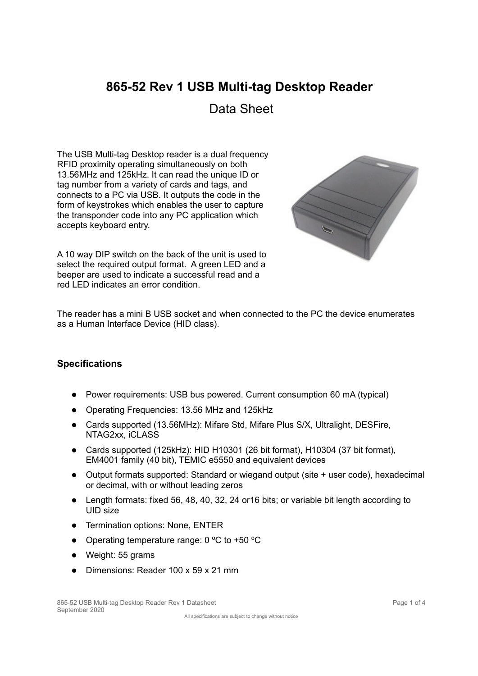# **865-52 Rev 1 USB Multi-tag Desktop Reader**

Data Sheet

The USB Multi-tag Desktop reader is a dual frequency RFID proximity operating simultaneously on both 13.56MHz and 125kHz. It can read the unique ID or tag number from a variety of cards and tags, and connects to a PC via USB. It outputs the code in the form of keystrokes which enables the user to capture the transponder code into any PC application which accepts keyboard entry.

A 10 way DIP switch on the back of the unit is used to select the required output format. A green LED and a beeper are used to indicate a successful read and a red LED indicates an error condition.



The reader has a mini B USB socket and when connected to the PC the device enumerates as a Human Interface Device (HID class).

# **Specifications**

- Power requirements: USB bus powered. Current consumption 60 mA (typical)
- Operating Frequencies: 13.56 MHz and 125kHz
- Cards supported (13.56MHz): Mifare Std, Mifare Plus S/X, Ultralight, DESFire, NTAG2xx, iCLASS
- Cards supported (125kHz): HID H10301 (26 bit format), H10304 (37 bit format), EM4001 family (40 bit), TEMIC e5550 and equivalent devices
- Output formats supported: Standard or wiegand output (site + user code), hexadecimal or decimal, with or without leading zeros
- Length formats: fixed 56, 48, 40, 32, 24 or16 bits; or variable bit length according to UID size
- Termination options: None, ENTER
- Operating temperature range: 0 °C to +50 °C
- Weight: 55 grams
- Dimensions: Reader 100 x 59 x 21 mm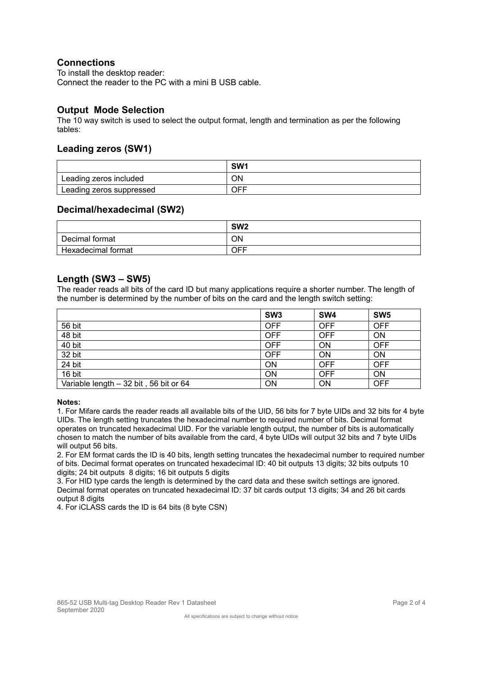# **Connections**

To install the desktop reader: Connect the reader to the PC with a mini B USB cable.

# **Output Mode Selection**

The 10 way switch is used to select the output format, length and termination as per the following tables:

# **Leading zeros (SW1)**

|                          | SW <sub>1</sub> |
|--------------------------|-----------------|
| Leading zeros included   | ОN              |
| Leading zeros suppressed | OFF             |

## **Decimal/hexadecimal (SW2)**

|                    | SW <sub>2</sub> |
|--------------------|-----------------|
| Decimal format     | <b>ON</b>       |
| Hexadecimal format | <b>OFF</b>      |

## **Length (SW3 – SW5)**

The reader reads all bits of the card ID but many applications require a shorter number. The length of the number is determined by the number of bits on the card and the length switch setting:

|                                        | SW <sub>3</sub> | SW <sub>4</sub> | SW <sub>5</sub> |
|----------------------------------------|-----------------|-----------------|-----------------|
| 56 bit                                 | <b>OFF</b>      | <b>OFF</b>      | <b>OFF</b>      |
| 48 bit                                 | <b>OFF</b>      | <b>OFF</b>      | ON              |
| 40 bit                                 | <b>OFF</b>      | ON              | <b>OFF</b>      |
| 32 bit                                 | <b>OFF</b>      | ON              | ON              |
| 24 bit                                 | ON              | <b>OFF</b>      | <b>OFF</b>      |
| 16 bit                                 | ON              | <b>OFF</b>      | <b>ON</b>       |
| Variable length - 32 bit, 56 bit or 64 | <b>ON</b>       | ON              | <b>OFF</b>      |

#### **Notes:**

1. For Mifare cards the reader reads all available bits of the UID, 56 bits for 7 byte UIDs and 32 bits for 4 byte UIDs. The length setting truncates the hexadecimal number to required number of bits. Decimal format operates on truncated hexadecimal UID. For the variable length output, the number of bits is automatically chosen to match the number of bits available from the card, 4 byte UIDs will output 32 bits and 7 byte UIDs will output 56 bits.

2. For EM format cards the ID is 40 bits, length setting truncates the hexadecimal number to required number of bits. Decimal format operates on truncated hexadecimal ID: 40 bit outputs 13 digits; 32 bits outputs 10 digits; 24 bit outputs 8 digits; 16 bit outputs 5 digits

3. For HID type cards the length is determined by the card data and these switch settings are ignored. Decimal format operates on truncated hexadecimal ID: 37 bit cards output 13 digits; 34 and 26 bit cards output 8 digits

4. For iCLASS cards the ID is 64 bits (8 byte CSN)